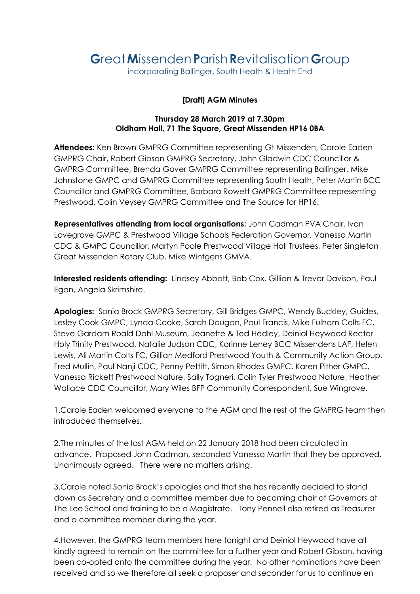## **G**reat**M**issenden**P**arish**R**evitalisation**G**roup

incorporating Ballinger, South Heath & Heath End

## **[Draft] AGM Minutes**

## **Thursday 28 March 2019 at 7.30pm Oldham Hall, 71 The Square, Great Missenden HP16 0BA**

**Attendees:** Ken Brown GMPRG Committee representing Gt Missenden, Carole Eaden GMPRG Chair, Robert Gibson GMPRG Secretary, John Gladwin CDC Councillor & GMPRG Committee, Brenda Gover GMPRG Committee representing Ballinger, Mike Johnstone GMPC and GMPRG Committee representing South Heath, Peter Martin BCC Councillor and GMPRG Committee, Barbara Rowett GMPRG Committee representing Prestwood, Colin Veysey GMPRG Committee and The Source for HP16.

**Representatives attending from local organisations:** John Cadman PVA Chair, Ivan Lovegrove GMPC & Prestwood Village Schools Federation Governor, Vanessa Martin CDC & GMPC Councillor, Martyn Poole Prestwood Village Hall Trustees, Peter Singleton Great Missenden Rotary Club, Mike Wintgens GMVA.

**Interested residents attending:** Lindsey Abbott, Bob Cox, Gillian & Trevor Davison, Paul Egan, Angela Skrimshire.

**Apologies:** Sonia Brock GMPRG Secretary, Gill Bridges GMPC, Wendy Buckley, Guides, Lesley Cook GMPC, Lynda Cooke, Sarah Dougan, Paul Francis, Mike Fulham Colts FC, Steve Gardam Roald Dahl Museum, Jeanette & Ted Hedley, Deiniol Heywood Rector Holy Trinity Prestwood, Natalie Judson CDC, Korinne Leney BCC Missendens LAF, Helen Lewis, Ali Martin Colts FC, Gillian Medford Prestwood Youth & Community Action Group, Fred Mullin, Paul Nanji CDC, Penny Pettitt, Simon Rhodes GMPC, Karen Pither GMPC, Vanessa Rickett Prestwood Nature, Sally Togneri, Colin Tyler Prestwood Nature, Heather Wallace CDC Councillor, Mary Wiles BFP Community Correspondent, Sue Wingrove.

1.Carole Eaden welcomed everyone to the AGM and the rest of the GMPRG team then introduced themselves.

2.The minutes of the last AGM held on 22 January 2018 had been circulated in advance. Proposed John Cadman, seconded Vanessa Martin that they be approved. Unanimously agreed. There were no matters arising.

3.Carole noted Sonia Brock's apologies and that she has recently decided to stand down as Secretary and a committee member due to becoming chair of Governors at The Lee School and training to be a Magistrate. Tony Pennell also retired as Treasurer and a committee member during the year.

4.However, the GMPRG team members here tonight and Deiniol Heywood have all kindly agreed to remain on the committee for a further year and Robert Gibson, having been co-opted onto the committee during the year. No other nominations have been received and so we therefore all seek a proposer and seconder for us to continue en